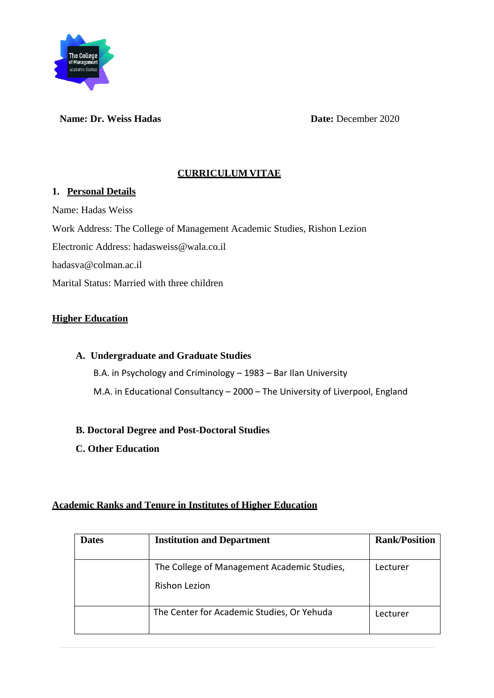

**Name: Dr. Weiss Hadas Date:** December 2020

## **CURRICULUM VITAE**

### **1. Personal Details**

Name: Hadas Weiss Work Address: The College of Management Academic Studies, Rishon Lezion Electronic Address: hadasweiss@wala.co.il hadasva@colman.ac.il Marital Status: Married with three children

## **Higher Education**

**A. Undergraduate and Graduate Studies** B.A. in Psychology and Criminology – 1983 – Bar Ilan University M.A. in Educational Consultancy – 2000 – The University of Liverpool, England

## **B. Doctoral Degree and Post-Doctoral Studies**

**C. Other Education** 

## **Academic Ranks and Tenure in Institutes of Higher Education**

| <b>Dates</b> | <b>Institution and Department</b>                                   | <b>Rank/Position</b> |
|--------------|---------------------------------------------------------------------|----------------------|
|              | The College of Management Academic Studies,<br><b>Rishon Lezion</b> | Lecturer             |
|              | The Center for Academic Studies, Or Yehuda                          | Lecturer             |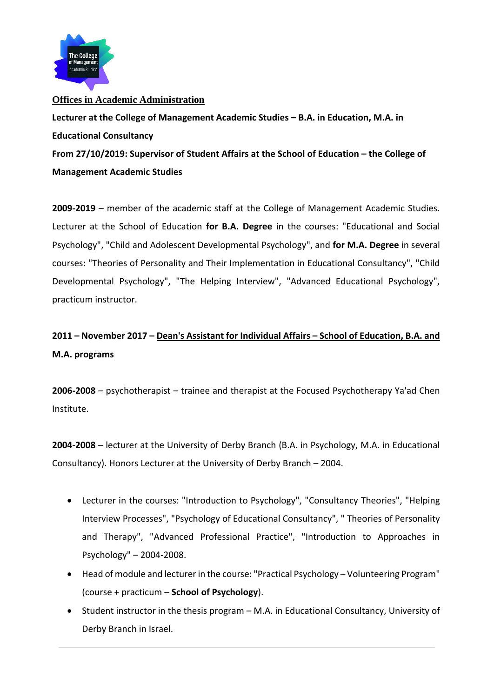

### **Offices in Academic Administration**

Lecturer at the College of Management Academic Studies - B.A. in Education, M.A. in **Educational Consultancy** From 27/10/2019: Supervisor of Student Affairs at the School of Education – the College of **Management Academic Studies**

**2009-2019** – member of the academic staff at the College of Management Academic Studies. Lecturer at the School of Education **for B.A. Degree** in the courses: "Educational and Social Psychology", "Child and Adolescent Developmental Psychology", and **for M.A. Degree** in several courses: "Theories of Personality and Their Implementation in Educational Consultancy", "Child Developmental Psychology", "The Helping Interview", "Advanced Educational Psychology", practicum instructor.

# **2011 – November 2017 – Dean's Assistant for Individual Affairs – School of Education, B.A. and M.A. programs**

**2006-2008** – psychotherapist – trainee and therapist at the Focused Psychotherapy Ya'ad Chen Institute.

**2004-2008** – lecturer at the University of Derby Branch (B.A. in Psychology, M.A. in Educational Consultancy). Honors Lecturer at the University of Derby Branch – 2004.

- Lecturer in the courses: "Introduction to Psychology", "Consultancy Theories", "Helping Interview Processes", "Psychology of Educational Consultancy", " Theories of Personality and Therapy", "Advanced Professional Practice", "Introduction to Approaches in Psychology" – 2004-2008.
- Head of module and lecturer in the course: "Practical Psychology Volunteering Program" (course + practicum – **School of Psychology**).
- Student instructor in the thesis program M.A. in Educational Consultancy, University of Derby Branch in Israel.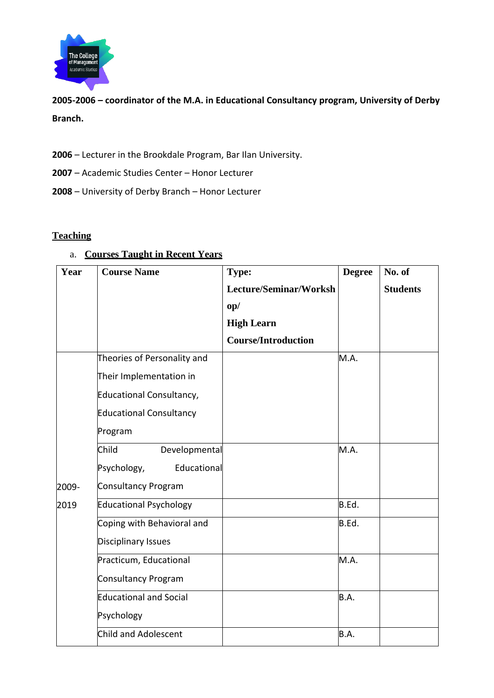

**2005-2006 – coordinator of the M.A. in Educational Consultancy program, University of Derby Branch.**

**2006** – Lecturer in the Brookdale Program, Bar Ilan University.

**2007** – Academic Studies Center – Honor Lecturer

**2008** – University of Derby Branch – Honor Lecturer

#### **Teaching**

## a. **Courses Taught in Recent Years**

| Year  | <b>Course Name</b>              | Type:                      | <b>Degree</b> | No. of          |
|-------|---------------------------------|----------------------------|---------------|-----------------|
|       |                                 | Lecture/Seminar/Worksh     |               | <b>Students</b> |
|       |                                 | $\mathbf{op}/$             |               |                 |
|       |                                 | <b>High Learn</b>          |               |                 |
|       |                                 | <b>Course/Introduction</b> |               |                 |
|       | Theories of Personality and     |                            | M.A.          |                 |
|       | Their Implementation in         |                            |               |                 |
|       | <b>Educational Consultancy,</b> |                            |               |                 |
|       | <b>Educational Consultancy</b>  |                            |               |                 |
|       | Program                         |                            |               |                 |
|       | Child<br>Developmental          |                            | M.A.          |                 |
|       | Educational<br>Psychology,      |                            |               |                 |
| 2009- | <b>Consultancy Program</b>      |                            |               |                 |
| 2019  | <b>Educational Psychology</b>   |                            | B.Ed.         |                 |
|       | Coping with Behavioral and      |                            | B.Ed.         |                 |
|       | <b>Disciplinary Issues</b>      |                            |               |                 |
|       | Practicum, Educational          |                            | M.A.          |                 |
|       | <b>Consultancy Program</b>      |                            |               |                 |
|       | <b>Educational and Social</b>   |                            | B.A.          |                 |
|       | Psychology                      |                            |               |                 |
|       | <b>Child and Adolescent</b>     |                            | B.A.          |                 |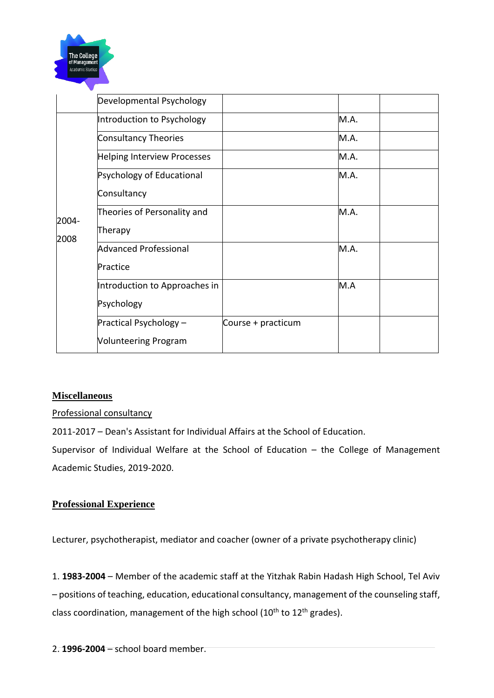

|               | Developmental Psychology      |                    |      |  |
|---------------|-------------------------------|--------------------|------|--|
| 2004-<br>2008 | Introduction to Psychology    |                    | M.A. |  |
|               | <b>Consultancy Theories</b>   |                    | M.A. |  |
|               | Helping Interview Processes   |                    | M.A. |  |
|               | Psychology of Educational     |                    | M.A. |  |
|               | Consultancy                   |                    |      |  |
|               | Theories of Personality and   |                    | M.A. |  |
|               | Therapy                       |                    |      |  |
|               | <b>Advanced Professional</b>  |                    | M.A. |  |
|               | Practice                      |                    |      |  |
|               | Introduction to Approaches in |                    | M.A  |  |
|               | Psychology                    |                    |      |  |
|               | Practical Psychology -        | Course + practicum |      |  |
|               | <b>Volunteering Program</b>   |                    |      |  |
|               |                               |                    |      |  |

### **Miscellaneous**

Professional consultancy

2011-2017 – Dean's Assistant for Individual Affairs at the School of Education.

Supervisor of Individual Welfare at the School of Education – the College of Management Academic Studies, 2019-2020.

### **Professional Experience**

Lecturer, psychotherapist, mediator and coacher (owner of a private psychotherapy clinic)

1. **1983-2004** – Member of the academic staff at the Yitzhak Rabin Hadash High School, Tel Aviv – positions of teaching, education, educational consultancy, management of the counseling staff, class coordination, management of the high school ( $10<sup>th</sup>$  to  $12<sup>th</sup>$  grades).